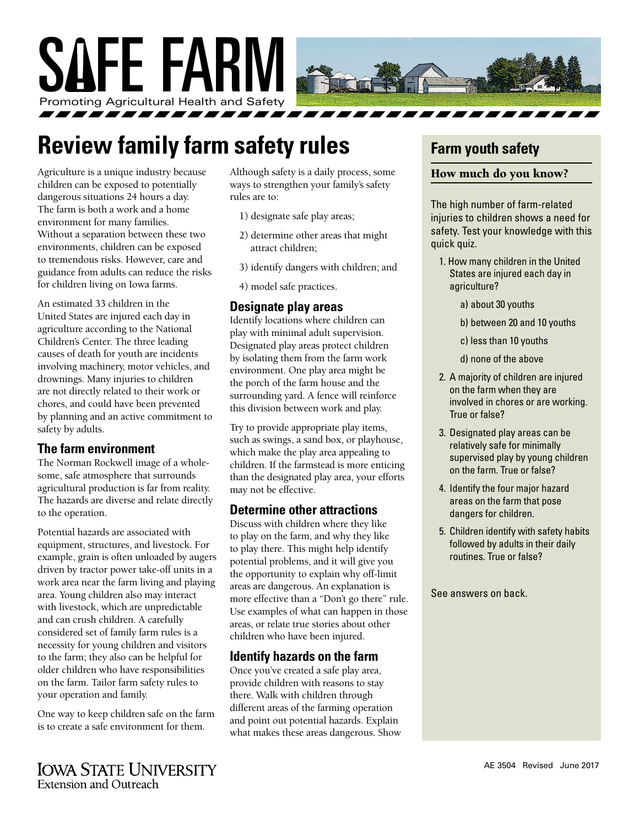

## **Review family farm safety rules**

Agriculture is a unique industry because children can be exposed to potentially dangerous situations 24 hours a day. The farm is both a work and a home environment for many families. Without a separation between these two environments, children can be exposed to tremendous risks. However, care and guidance from adults can reduce the risks for children living on Iowa farms.

An estimated 33 children in the United States are injured each day in agriculture according to the National Children's Center. The three leading causes of death for youth are incidents involving machinery, motor vehicles, and drownings. Many injuries to children are not directly related to their work or chores, and could have been prevented by planning and an active commitment to safety by adults.

#### **The farm environment**

The Norman Rockwell image of a wholesome, safe atmosphere that surrounds agricultural production is far from reality. The hazards are diverse and relate directly to the operation.

Potential hazards are associated with equipment, structures, and livestock. For example, grain is often unloaded by augers driven by tractor power take-off units in a work area near the farm living and playing area. Young children also may interact with livestock, which are unpredictable and can crush children. A carefully considered set of family farm rules is a necessity for young children and visitors to the farm; they also can be helpful for older children who have responsibilities on the farm. Tailor farm safety rules to your operation and family.

One way to keep children safe on the farm is to create a safe environment for them.

Although safety is a daily process, some ways to strengthen your family's safety rules are to:

- 1) designate safe play areas;
- 2) determine other areas that might attract children;
- 3) identify dangers with children; and
- 4) model safe practices.

#### **Designate play areas**

Identify locations where children can play with minimal adult supervision. Designated play areas protect children by isolating them from the farm work environment. One play area might be the porch of the farm house and the surrounding yard. A fence will reinforce this division between work and play.

Try to provide appropriate play items, such as swings, a sand box, or playhouse, which make the play area appealing to children. If the farmstead is more enticing than the designated play area, your efforts may not be effective.

#### **Determine other attractions**

Discuss with children where they like to play on the farm, and why they like to play there. This might help identify potential problems, and it will give you the opportunity to explain why off-limit areas are dangerous. An explanation is more effective than a "Don't go there" rule. Use examples of what can happen in those areas, or relate true stories about other children who have been injured.

#### **Identify hazards on the farm**

Once you've created a safe play area, provide children with reasons to stay there. Walk with children through different areas of the farming operation and point out potential hazards. Explain what makes these areas dangerous. Show

### **Farm youth safety**

#### How much do you know?

The high number of farm-related injuries to children shows a need for safety. Test your knowledge with this quick quiz.

- 1. How many children in the United States are injured each day in agriculture?
	- a) about 30 youths
	- b) between 20 and 10 youths
	- c) less than 10 youths
	- d) none of the above
- 2. A majority of children are injured on the farm when they are involved in chores or are working. True or false?
- 3. Designated play areas can be relatively safe for minimally supervised play by young children on the farm. True or false?
- 4. Identify the four major hazard areas on the farm that pose dangers for children.
- 5. Children identify with safety habits followed by adults in their daily routines. True or false?

See answers on back.